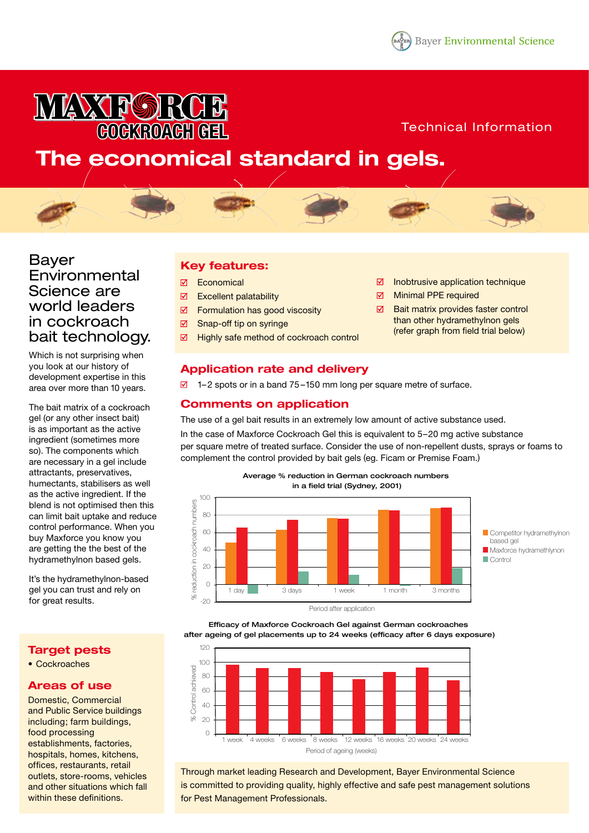# **IA KAY PORCE COCKROACH GEL**

## Technical Information

## **The economical standard in gels.**



## Bayer **Environmental** Science are world leaders in cockroach bait technology.

Which is not surprising when you look at our history of development expertise in this area over more than 10 years.

The bait matrix of a cockroach gel (or any other insect bait) is as important as the active ingredient (sometimes more so). The components which are necessary in a gel include attractants, preservatives, humectants, stabilisers as well as the active ingredient. If the blend is not optimised then this can limit bait uptake and reduce control performance. When you buy Maxforce you know you are getting the the best of the hydramethylnon based gels.

It's the hydramethylnon-based gel you can trust and rely on for great results.

## **Target pests**

• Cockroaches

## **Areas of use**

Domestic, Commercial and Public Service buildings including; farm buildings, food processing establishments, factories, hospitals, homes, kitchens, offices, restaurants, retail outlets, store-rooms, vehicles and other situations which fall within these definitions.

## **Key features:**

- **Ø** Economical
- $\overline{\mathbf{M}}$ Excellent palatability
- $\overline{\mathbf{M}}$ Formulation has good viscosity
- ☑ Snap-off tip on syringe
- $\overline{\mathbf{M}}$ Highly safe method of cockroach control
- $\overline{\mathsf{M}}$ Inobtrusive application technique
- $\overline{M}$ Minimal PPE required
- Bait matrix provides faster control  $\overline{M}$ than other hydramethylnon gels (refer graph from field trial below)

## **Application rate and delivery**

 $\overline{2}$  1–2 spots or in a band 75–150 mm long per square metre of surface.

## **Comments on application**

The use of a gel bait results in an extremely low amount of active substance used.

In the case of Maxforce Cockroach Gel this is equivalent to 5–20 mg active substance per square metre of treated surface. Consider the use of non-repellent dusts, sprays or foams to complement the control provided by bait gels (eg. Ficam or Premise Foam.)





Efficacy of Maxforce Cockroach Gel against German cockroaches after ageing of gel placements up to 24 weeks (efficacy after 6 days exposure)



Through market leading Research and Development, Bayer Environmental Science is committed to providing quality, highly effective and safe pest management solutions for Pest Management Professionals.